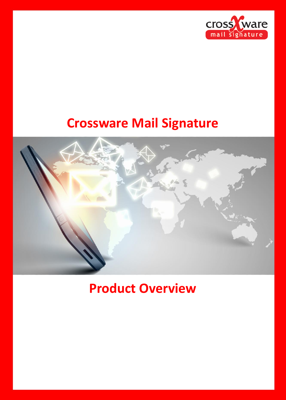

# **Crossware Mail Signature**



# **Product Overview**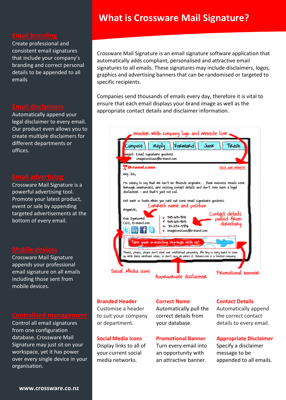## **What is Crossware Mail Signature?**

Create professional and consistent email signatures that include your company's branding and correct personal details to be appended to all emails

 offices. Automatically append your legal disclaimer to every email. Our product even allows you to create multiple disclaimers for different departments or

 event or sale by appending Crossware Mail Signature is a powerful advertising tool. Promote your latest product, targeted advertisements at the bottom of every email.

Crossware Mail Signature appends your professional email signature on all emails including those sent from mobile devices.

Control all email signatures from one configuration database. Crossware Mail Signature may just sit on your workspace, yet it has power over every single device in your organisation.

Crossware Mail Signature is an email signature software application that automatically adds compliant, personalised and attractive email signatures to all emails. These signatures may include disclaimers, logos, graphics and advertising banners that can be randomised or targeted to specific recipients.

Companies send thousands of emails every day, therefore it is vital to ensure that each email displays your brand image as well as the appropriate contact details and disclaimer information.



### **Branded Header**

Customise a header to suit your company or department.

## **Social Media Icons**

Display links to all of your current social media networks.

### **Correct Name**

Automatically pull the correct details from your database.

### **Promotional Banner**

Turn every email into an opportunity with an attractive banner.

### **Contact Details**

Automatically append the correct contact details to every email.

### **Appropriate Disclaimer**

Specify a disclaimer message to be appended to all emails.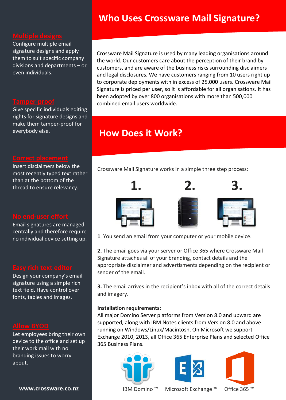## **Who Uses Crossware Mail Signature?**

**Multiple designs**<br>Configure multiple email signature designs and apply them to suit specific company divisions and departments – or even individuals.

Give specific individuals editing rights for signature designs and make them tamper-proof for everybody else.

Insert disclaimers below the most recently typed text rather than at the bottom of the thread to ensure relevancy.

Email signatures are managed centrally and therefore require no individual device setting up.

Design your company's email signature using a simple rich text field. Have control over fonts, tables and images.

Let employees bring their own device to the office and set up their work mail with no branding issues to worry about.

Crossware Mail Signature is used by many leading organisations around the world. Our customers care about the perception of their brand by customers, and are aware of the business risks surrounding disclaimers and legal disclosures. We have customers ranging from 10 users right up to corporate deployments with in excess of 25,000 users. Crossware Mail Signature is priced per user, so it is affordable for all organisations. It has been adopted by over 800 organisations with more than 500,000 combined email users worldwide.

## **How Does it Work?**

Crossware Mail Signature works in a simple three step process:



**1**. You send an email from your computer or your mobile device.

**2.** The email goes via your server or Office 365 where Crossware Mail Signature attaches all of your branding, contact details and the appropriate disclaimer and advertisments depending on the recipient or sender of the email.

**3.** The email arrives in the recipient's inbox with all of the correct details and imagery.

## **Installation requirements:**

All major Domino Server platforms from Version 8.0 and upward are supported, along with IBM Notes clients from Version 8.0 and above running on Windows/Linux/Macintosh. On Microsoft we support Exchange 2010, 2013, all Office 365 Enterprise Plans and selected Office 365 Business Plans.







**[www.crossware.co.nz](file:///C:/Users/hm/Dropbox/CMS/Marketing/www.crossware.co.nz)** IBM Domino ™ Microsoft Exchange ™ Office 365 ™